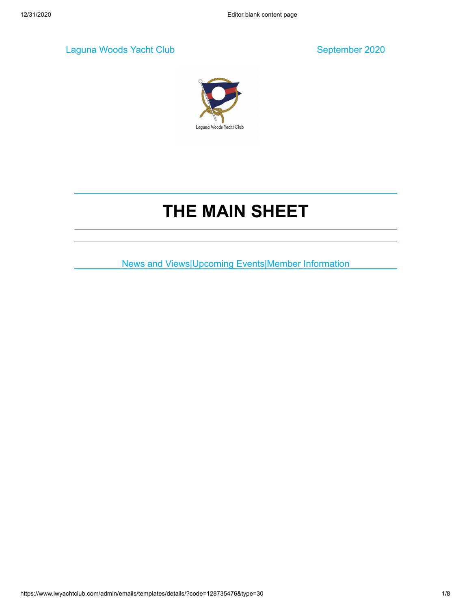Laguna Woods Yacht Club September 2020



# **THE MAIN SHEET**

News and Views|Upcoming Events|Member Information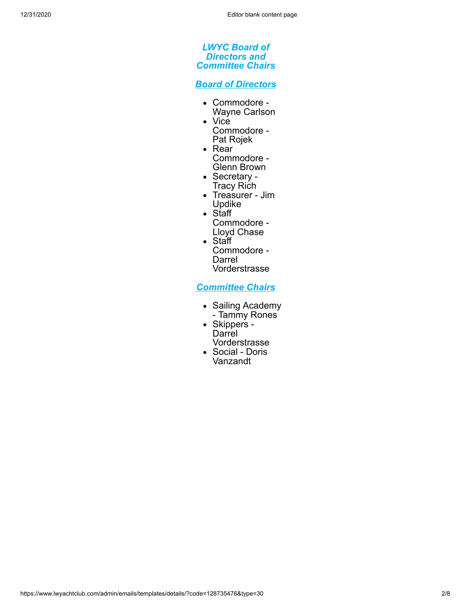### *LWYC Board of Directors and Committee Chairs*

*Board of Directors*

- Commodore Wayne Carlson
- Vice
	- Commodore Pat Rojek
- Rear Commodore - Glenn Brown
- Secretary -Tracy Rich
- Treasurer Jim Updike
- Staff
- Commodore Lloyd Chase
- Staff Commodore - Darrel Vorderstrasse

*Committee Chairs*

- Sailing Academy - Tammy Rones
- Skippers **Darrel** Vorderstrasse
- Social Doris Vanzandt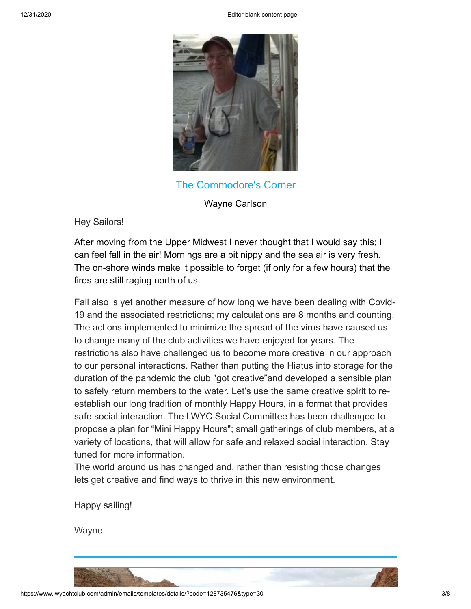12/31/2020 Editor blank content page



The Commodore's Corner

Wayne Carlson

Hey Sailors!

After moving from the Upper Midwest I never thought that I would say this; I can feel fall in the air! Mornings are a bit nippy and the sea air is very fresh. The on-shore winds make it possible to forget (if only for a few hours) that the fires are still raging north of us.

Fall also is yet another measure of how long we have been dealing with Covid-19 and the associated restrictions; my calculations are 8 months and counting. The actions implemented to minimize the spread of the virus have caused us to change many of the club activities we have enjoyed for years. The restrictions also have challenged us to become more creative in our approach to our personal interactions. Rather than putting the Hiatus into storage for the duration of the pandemic the club "got creative"and developed a sensible plan to safely return members to the water. Let's use the same creative spirit to reestablish our long tradition of monthly Happy Hours, in a format that provides safe social interaction. The LWYC Social Committee has been challenged to propose a plan for "Mini Happy Hours"; small gatherings of club members, at a variety of locations, that will allow for safe and relaxed social interaction. Stay tuned for more information.

The world around us has changed and, rather than resisting those changes lets get creative and find ways to thrive in this new environment.

Happy sailing!

Wayne



https://www.lwyachtclub.com/admin/emails/templates/details/?code=128735476&type=30 3/8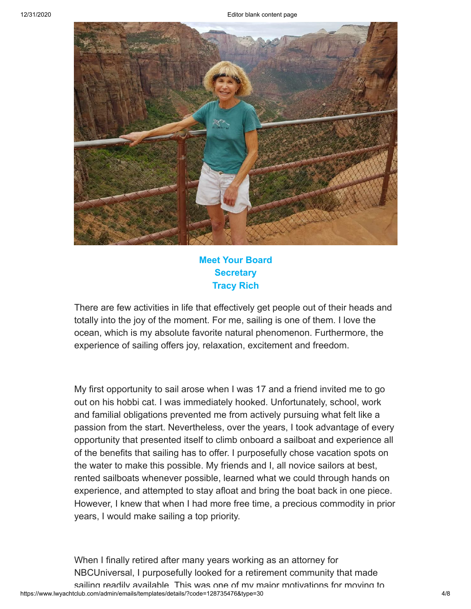

## **Meet Your Board Secretary Tracy Rich**

There are few activities in life that effectively get people out of their heads and totally into the joy of the moment. For me, sailing is one of them. I love the ocean, which is my absolute favorite natural phenomenon. Furthermore, the experience of sailing offers joy, relaxation, excitement and freedom.

My first opportunity to sail arose when I was 17 and a friend invited me to go out on his hobbi cat. I was immediately hooked. Unfortunately, school, work and familial obligations prevented me from actively pursuing what felt like a passion from the start. Nevertheless, over the years, I took advantage of every opportunity that presented itself to climb onboard a sailboat and experience all of the benefits that sailing has to offer. I purposefully chose vacation spots on the water to make this possible. My friends and I, all novice sailors at best, rented sailboats whenever possible, learned what we could through hands on experience, and attempted to stay afloat and bring the boat back in one piece. However, I knew that when I had more free time, a precious commodity in prior years, I would make sailing a top priority.

When I finally retired after many years working as an attorney for NBCUniversal, I purposefully looked for a retirement community that made sailing readily available This was one of my major motivations for moving to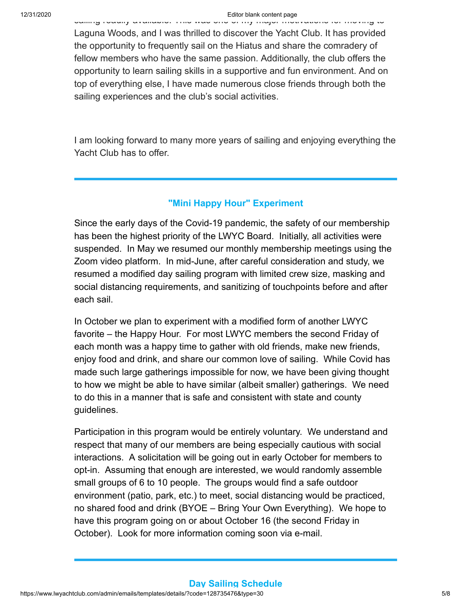#### 12/31/2020 Editor blank content page

sailing readily available. This was one of my major motivations for moving to Laguna Woods, and I was thrilled to discover the Yacht Club. It has provided the opportunity to frequently sail on the Hiatus and share the comradery of fellow members who have the same passion. Additionally, the club offers the opportunity to learn sailing skills in a supportive and fun environment. And on top of everything else, I have made numerous close friends through both the sailing experiences and the club's social activities.

I am looking forward to many more years of sailing and enjoying everything the Yacht Club has to offer.

## **"Mini Happy Hour" Experiment**

Since the early days of the Covid-19 pandemic, the safety of our membership has been the highest priority of the LWYC Board. Initially, all activities were suspended. In May we resumed our monthly membership meetings using the Zoom video platform. In mid-June, after careful consideration and study, we resumed a modified day sailing program with limited crew size, masking and social distancing requirements, and sanitizing of touchpoints before and after each sail.

In October we plan to experiment with a modified form of another LWYC favorite – the Happy Hour. For most LWYC members the second Friday of each month was a happy time to gather with old friends, make new friends, enjoy food and drink, and share our common love of sailing. While Covid has made such large gatherings impossible for now, we have been giving thought to how we might be able to have similar (albeit smaller) gatherings. We need to do this in a manner that is safe and consistent with state and county guidelines.

Participation in this program would be entirely voluntary. We understand and respect that many of our members are being especially cautious with social interactions. A solicitation will be going out in early October for members to opt-in. Assuming that enough are interested, we would randomly assemble small groups of 6 to 10 people. The groups would find a safe outdoor environment (patio, park, etc.) to meet, social distancing would be practiced, no shared food and drink (BYOE – Bring Your Own Everything). We hope to have this program going on or about October 16 (the second Friday in October). Look for more information coming soon via e-mail.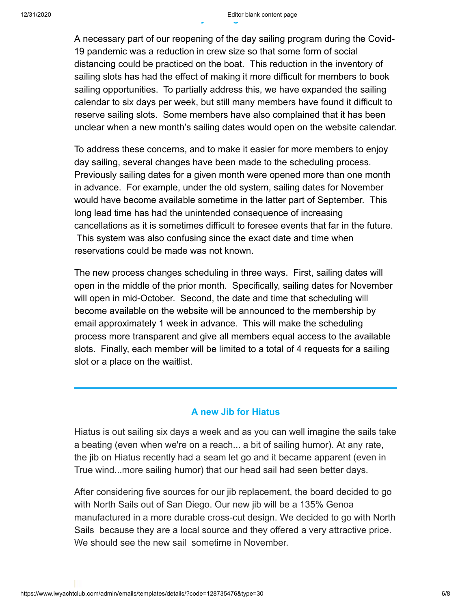A necessary part of our reopening of the day sailing program during the Covid-19 pandemic was a reduction in crew size so that some form of social distancing could be practiced on the boat. This reduction in the inventory of sailing slots has had the effect of making it more difficult for members to book sailing opportunities. To partially address this, we have expanded the sailing calendar to six days per week, but still many members have found it difficult to reserve sailing slots. Some members have also complained that it has been unclear when a new month's sailing dates would open on the website calendar.

To address these concerns, and to make it easier for more members to enjoy day sailing, several changes have been made to the scheduling process. Previously sailing dates for a given month were opened more than one month in advance. For example, under the old system, sailing dates for November would have become available sometime in the latter part of September. This long lead time has had the unintended consequence of increasing cancellations as it is sometimes difficult to foresee events that far in the future. This system was also confusing since the exact date and time when reservations could be made was not known.

The new process changes scheduling in three ways. First, sailing dates will open in the middle of the prior month. Specifically, sailing dates for November will open in mid-October. Second, the date and time that scheduling will become available on the website will be announced to the membership by email approximately 1 week in advance. This will make the scheduling process more transparent and give all members equal access to the available slots. Finally, each member will be limited to a total of 4 requests for a sailing slot or a place on the waitlist.

## **A new Jib for Hiatus**

Hiatus is out sailing six days a week and as you can well imagine the sails take a beating (even when we're on a reach... a bit of sailing humor). At any rate, the jib on Hiatus recently had a seam let go and it became apparent (even in True wind...more sailing humor) that our head sail had seen better days.

After considering five sources for our jib replacement, the board decided to go with North Sails out of San Diego. Our new jib will be a 135% Genoa manufactured in a more durable cross-cut design. We decided to go with North Sails because they are a local source and they offered a very attractive price. We should see the new sail sometime in November.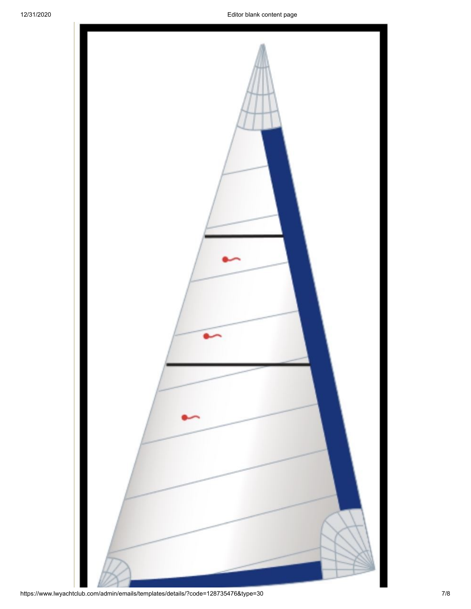